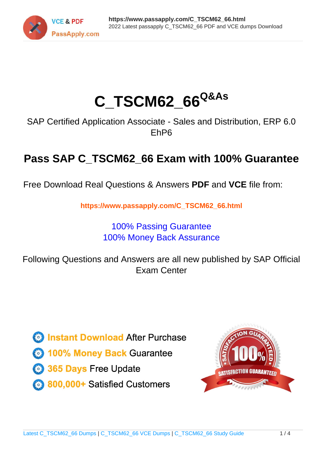

# **C\_TSCM62\_66Q&As**

SAP Certified Application Associate - Sales and Distribution, ERP 6.0 EhP6

## **Pass SAP C\_TSCM62\_66 Exam with 100% Guarantee**

Free Download Real Questions & Answers **PDF** and **VCE** file from:

**https://www.passapply.com/C\_TSCM62\_66.html**

### 100% Passing Guarantee 100% Money Back Assurance

Following Questions and Answers are all new published by SAP Official Exam Center

**Colonization** Download After Purchase

- **@ 100% Money Back Guarantee**
- **63 365 Days Free Update**
- 800,000+ Satisfied Customers

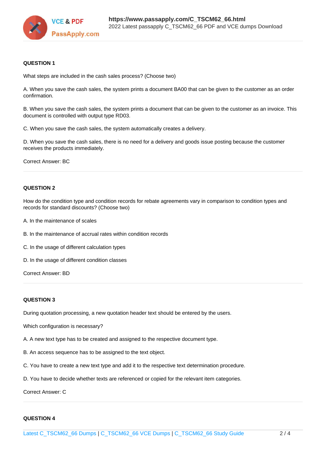

#### **QUESTION 1**

What steps are included in the cash sales process? (Choose two)

A. When you save the cash sales, the system prints a document BA00 that can be given to the customer as an order confirmation.

B. When you save the cash sales, the system prints a document that can be given to the customer as an invoice. This document is controlled with output type RD03.

C. When you save the cash sales, the system automatically creates a delivery.

D. When you save the cash sales, there is no need for a delivery and goods issue posting because the customer receives the products immediately.

Correct Answer: BC

#### **QUESTION 2**

How do the condition type and condition records for rebate agreements vary in comparison to condition types and records for standard discounts? (Choose two)

- A. In the maintenance of scales
- B. In the maintenance of accrual rates within condition records
- C. In the usage of different calculation types
- D. In the usage of different condition classes

Correct Answer: BD

#### **QUESTION 3**

During quotation processing, a new quotation header text should be entered by the users.

Which configuration is necessary?

- A. A new text type has to be created and assigned to the respective document type.
- B. An access sequence has to be assigned to the text object.
- C. You have to create a new text type and add it to the respective text determination procedure.
- D. You have to decide whether texts are referenced or copied for the relevant item categories.

Correct Answer: C

#### **QUESTION 4**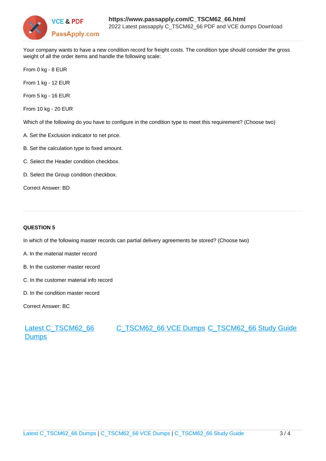

Your company wants to have a new condition record for freight costs. The condition type should consider the gross weight of all the order items and handle the following scale:

From 0 kg - 8 EUR

From 1 kg - 12 EUR

From 5 kg - 16 EUR

From 10 kg - 20 EUR

Which of the following do you have to configure in the condition type to meet this requirement? (Choose two)

- A. Set the Exclusion indicator to net price.
- B. Set the calculation type to fixed amount.
- C. Select the Header condition checkbox.
- D. Select the Group condition checkbox.

Correct Answer: BD

#### **QUESTION 5**

In which of the following master records can partial delivery agreements be stored? (Choose two)

- A. In the material master record
- B. In the customer master record
- C. In the customer material info record
- D. In the condition master record

Correct Answer: BC

#### [Latest C\\_TSCM62\\_66](https://www.passapply.com/C_TSCM62_66.html) **[Dumps](https://www.passapply.com/C_TSCM62_66.html)** [C\\_TSCM62\\_66 VCE Dumps](https://www.passapply.com/C_TSCM62_66.html) [C\\_TSCM62\\_66 Study Guide](https://www.passapply.com/C_TSCM62_66.html)